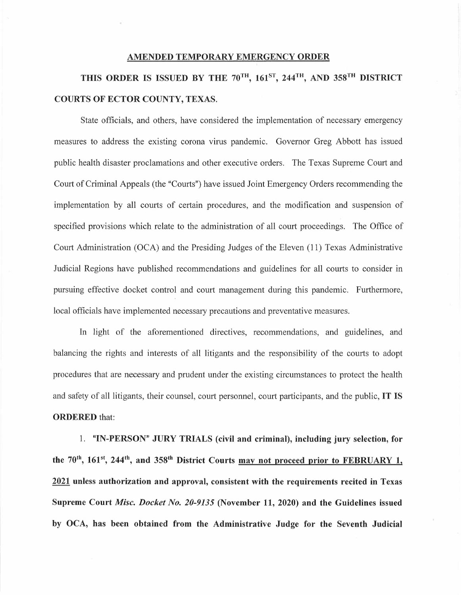## **AMENDED TEMPORARY EMERGENCY ORDER**

## **THIS ORDER IS ISSUED BY THE 70TH, 161sT, 244TH, AND 358TH DISTRICT COURTS OF ECTOR COUNTY, TEXAS.**

State officials, and others, have considered the implementation of necessary emergency measures to address the existing corona virus pandemic. Governor Greg Abbott has issued public health disaster proclamations and other executive orders. The Texas Supreme Court and Court of Criminal Appeals (the "Courts") have issued Joint Emergency Orders recommending the implementation by all courts of certain procedures, and the modification and suspension of specified provisions which relate to the administration of all court proceedings. The Office of Court Administration (OCA) and the Presiding Judges of the Eleven (11) Texas Administrative Judicial Regions have published recommendations and guidelines for all courts to consider in pursuing effective docket control and court management during this pandemic. Furthermore, local officials have implemented necessary precautions and preventative measures.

In light of the aforementioned directives, recommendations, and guidelines, and balancing the rights and interests of all litigants and the responsibility of the courts to adopt procedures that are necessary and prudent under the existing circumstances to protect the health and safety of all litigants, their counsel, court personnel, court participants, and the public, **IT IS ORDERED** that:

1. **"IN-PERSON" JURY TRIALS (civil and criminal), including jury selection, for**  the 70<sup>th</sup>, 161<sup>st</sup>, 244<sup>th</sup>, and 358<sup>th</sup> District Courts may not proceed prior to FEBRUARY 1, **2021 unless authorization and approval, consistent with the requirements recited in Texas Supreme Court** *Misc. Docket No. 20-9135* **(November 11, 2020) and the Guidelines issued by OCA, has been obtained from the Administrative Judge for the Seventh Judicial**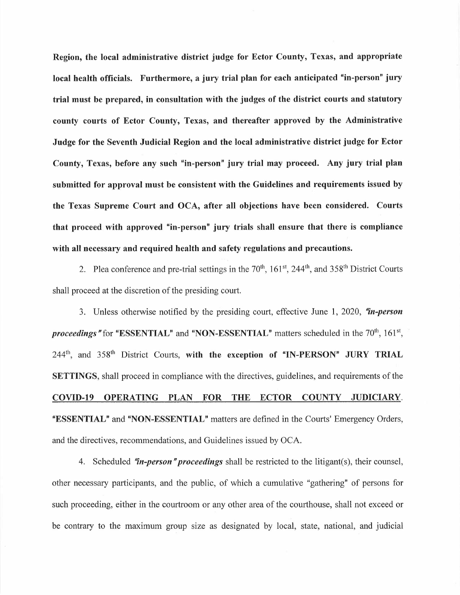**Region, the local administrative district judge for Ector County, Texas, and appropriate local health officials. Furthermore, a jury trial plan for each anticipated "in-person" jury trial must be prepared, in consultation with the judges of the district courts and statutory county courts of Ector County, Texas, and thereafter approved by the Administrative Judge for the Seventh Judicial Region and the local administrative district judge for Ector County, Texas, before any such "in-person" jury trial may proceed. Any jury trial plan submitted for approval must be consistent with the Guidelines and requirements issued by the Texas Supreme Court and OCA, after all objections have been considered. Courts that proceed with approved "in-person" jury trials shall ensure that there is compliance with all necessary and required health and safety regulations and precautions.** 

2. Plea conference and pre-trial settings in the  $70<sup>th</sup>$ ,  $161<sup>st</sup>$ ,  $244<sup>th</sup>$ , and  $358<sup>th</sup>$  District Courts shall proceed at the discretion of the presiding court.

3. Unless otherwise notified by the presiding court, effective June 1, 2020, *"in-person*  proceedings " for "ESSENTIAL" and "NON-ESSENTIAL" matters scheduled in the 70<sup>th</sup>, 161<sup>st</sup>, 244<sup>th</sup>, and 358<sup>th</sup> District Courts, with the exception of "IN-PERSON" JURY TRIAL **SETTINGS,** shall proceed in compliance with the directives, guidelines, and requirements of the **COVID-19 OPERATING PLAN FOR THE ECTOR COUNTY JUDICIARY. "ESSENTIAL"** and **"NON-ESSENTIAL"** matters are defined in the Courts' Emergency Orders, and the directives, recommendations, and Guidelines issued by OCA.

4. Scheduled *"in-person "proceedings* shall be restricted to the litigant(s), their counsel, other necessary participants, and the public, of which a cumulative "gathering" of persons for such proceeding, either in the courtroom or any other area of the courthouse, shall not exceed or be contrary to the maximum group size as designated by local, state, national, and judicial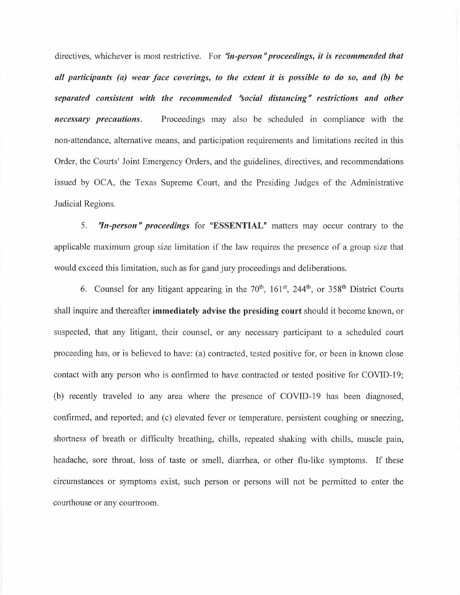directives, whichever is most restrictive. For "in-person" proceedings, it is recommended that *all participants (a) wear face coverings, to the extent it is possible to do so, and (b) be separated consistent with the recommended "social distancing" restrictions and other necessary precautions.* Proceedings may also be scheduled in compliance with the non-attendance, alternative means, and participation requirements and limitations recited in this Order, the Courts' Joint Emergency Orders, and the guidelines, directives, and recommendations issued by OCA, the Texas Supreme Court, and the Presiding Judges of the Administrative Judicial Regions.

5. **"In-person" proceedings** for "ESSENTIAL" matters may occur contrary to the applicable maximum group size limitation if the law requires the presence of a group size that would exceed this limitation, such as for gand jury proceedings and deliberations.

6. Counsel for any litigant appearing in the  $70<sup>th</sup>$ ,  $161<sup>st</sup>$ ,  $244<sup>th</sup>$ , or  $358<sup>th</sup>$  District Courts shall inquire and thereafter **immediately advise the presiding court** should it become known, or suspected, that any litigant, their counsel, or any necessary participant to a scheduled court proceeding has, or is believed to have: (a) contracted, tested positive for, or been in known close contact with any person who is confirmed to have contracted or tested positive for COVID-19; (b) recently traveled to any area where the presence of COVID-19 has been diagnosed, confirmed, and reported; and (c) elevated fever or temperature, persistent coughing or sneezing, shortness of breath or difficulty breathing, chills, repeated shaking with chills, muscle pain, headache, sore throat, loss of taste or smell, diarrhea, or other flu-like symptoms. If these circumstances or symptoms exist, such person or persons will not be permitted to enter the courthouse or any courtroom.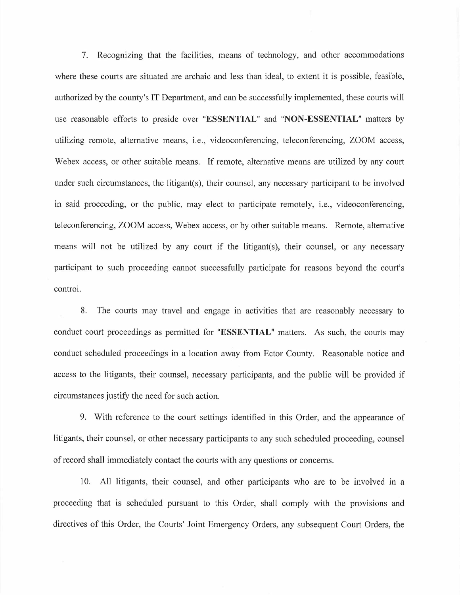7. Recognizing that the facilities, means of technology, and other accommodations where these courts are situated are archaic and less than ideal, to extent it is possible, feasible, authorized by the county's IT Department, and can be successfully implemented, these courts will use reasonable efforts to preside over **"ESSENTIAL"** and **"NON-ESSENTIAL"** matters by utilizing remote, alternative means, i.e., videoconferencing, teleconferencing, ZOOM access, Webex access, or other suitable means. If remote, alternative means are utilized by any court under such circumstances, the litigant(s), their counsel, any necessary participant to be involved in said proceeding, or the public, may elect to participate remotely, i.e., videoconferencing, teleconferencing, ZOOM access, Webex access, or by other suitable means. Remote, alternative means will not be utilized by any court if the litigant(s), their counsel, or any necessary participant to such proceeding cannot successfully participate for reasons beyond the court's control.

8. The courts may travel and engage in activities that are reasonably necessary to conduct court proceedings as permitted for **"ESSENTIAL"** matters. As such, the courts may conduct scheduled proceedings in a location away from Ector County. Reasonable notice and access to the litigants, their counsel, necessary participants, and the public will be provided if circumstances justify the need for such action.

9. With reference to the court settings identified in this Order, and the appearance of litigants, their counsel, or other necessary participants to any such scheduled proceeding, counsel of record shall immediately contact the courts with any questions or concerns.

10. All litigants, their counsel, and other participants who are to be involved in a proceeding that is scheduled pursuant to this Order, shall comply with the provisions and directives of this Order, the Courts' Joint Emergency Orders, any subsequent Court Orders, the